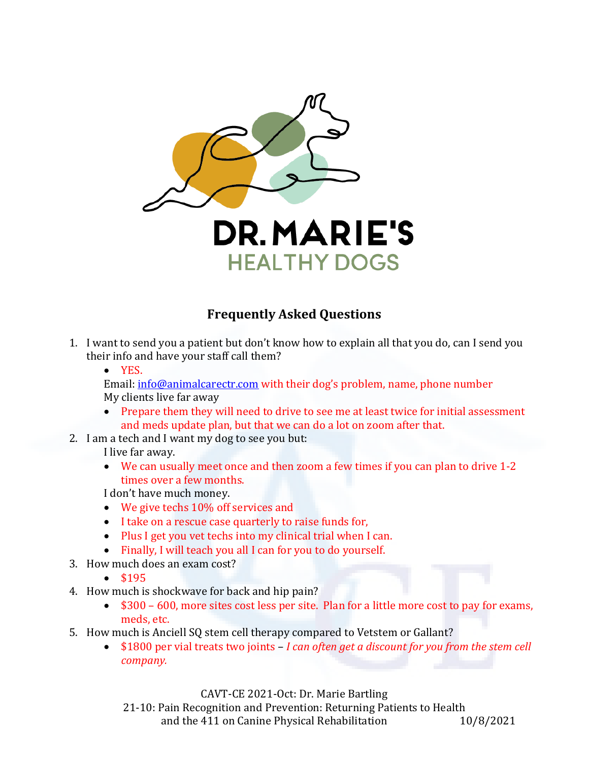

## **Frequently Asked Questions**

- 1. I want to send you a patient but don't know how to explain all that you do, can I send you their info and have your staff call them?
	- YES.

Email: [info@animalcarectr.com](mailto:info@animalcarectr.com) with their dog's problem, name, phone number My clients live far away

- Prepare them they will need to drive to see me at least twice for initial assessment and meds update plan, but that we can do a lot on zoom after that.
- 2. I am a tech and I want my dog to see you but:

I live far away.

• We can usually meet once and then zoom a few times if you can plan to drive 1-2 times over a few months.

I don't have much money.

- We give techs 10% off services and
- I take on a rescue case quarterly to raise funds for,
- Plus I get you vet techs into my clinical trial when I can.
- Finally, I will teach you all I can for you to do yourself.
- 3. How much does an exam cost?
	- \$195
- 4. How much is shockwave for back and hip pain?
	- \$300 600, more sites cost less per site. Plan for a little more cost to pay for exams, meds, etc.
- 5. How much is Anciell SQ stem cell therapy compared to Vetstem or Gallant?
	- \$1800 per vial treats two joints *I can often get a discount for you from the stem cell company.*

CAVT-CE 2021-Oct: Dr. Marie Bartling

21-10: Pain Recognition and Prevention: Returning Patients to Health<br>and the 411 on Canine Physical Rehabilitation 10/8/2021 and the 411 on Canine Physical Rehabilitation